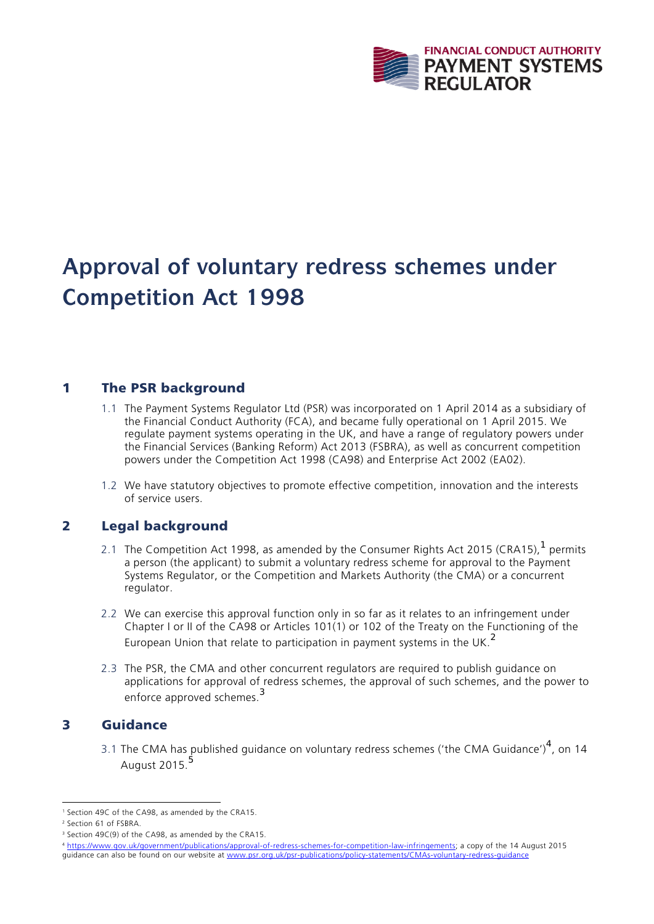

# **Approval of voluntary redress schemes under Competition Act 1998**

## 1 The PSR background

- 1.1 The Payment Systems Regulator Ltd (PSR) was incorporated on 1 April 2014 as a subsidiary of the Financial Conduct Authority (FCA), and became fully operational on 1 April 2015. We regulate payment systems operating in the UK, and have a range of regulatory powers under the Financial Services (Banking Reform) Act 2013 (FSBRA), as well as concurrent competition powers under the Competition Act 1998 (CA98) and Enterprise Act 2002 (EA02).
- 1.2 We have statutory objectives to promote effective competition, innovation and the interests of service users.

### 2 Legal background

- 2.1 The Competition Act 1998, as amended by the Consumer Rights Act 2015 (CRA15),  $1$  permits a person (the applicant) to submit a voluntary redress scheme for approval to the Payment Systems Regulator, or the Competition and Markets Authority (the CMA) or a concurrent regulator.
- 2.2 We can exercise this approval function only in so far as it relates to an infringement under Chapter I or II of the CA98 or Articles 101(1) or 102 of the Treaty on the Functioning of the European Union that relate to participation in payment systems in the UK.<sup>2</sup>
- 2.3 The PSR, the CMA and other concurrent regulators are required to publish guidance on applications for approval of redress schemes, the approval of such schemes, and the power to enforce approved schemes.<sup>3</sup>

#### 3 Guidance

3.1 The CMA has published guidance on voluntary redress schemes ('the CMA Guidance')<sup>4</sup>, on 14 August 2015.<sup>5</sup>

 1 Section 49C of the CA98, as amended by the CRA15.

<sup>2</sup> Section 61 of FSBRA.

<sup>&</sup>lt;sup>3</sup> Section 49C(9) of the CA98, as amended by the CRA15.

<sup>4</sup> https://www.gov.uk/government/publications/approval-of-redress-schemes-for-competition-law-infringements; a copy of the 14 August 2015 guidance can also be found on our website at www.psr.org.uk/psr-publications/policy-statements/CMAs-voluntary-redress-guidance